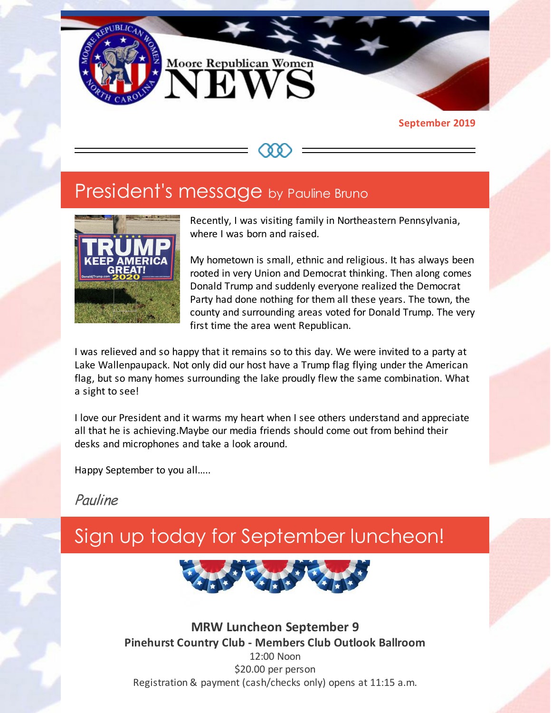

#### **September 2019**

## President's message by Pauline Bruno



Recently, I was visiting family in Northeastern Pennsylvania, where I was born and raised.

My hometown is small, ethnic and religious. It has always been rooted in very Union and Democrat thinking. Then along comes Donald Trump and suddenly everyone realized the Democrat Party had done nothing for them all these years. The town, the county and surrounding areas voted for Donald Trump. The very first time the area went Republican.

I was relieved and so happy that it remains so to this day. We were invited to a party at Lake Wallenpaupack. Not only did our host have a Trump flag flying under the American flag, but so many homes surrounding the lake proudly flew the same combination. What a sight to see!

I love our President and it warms my heart when I see others understand and appreciate all that he is achieving.Maybe our media friends should come out from behind their desks and microphones and take a look around.

Happy September to you all…..

Pauline

# Sign up today for September luncheon!



**MRW Luncheon September 9 Pinehurst Country Club - Members Club Outlook Ballroom** 12:00 Noon \$20.00 per person Registration & payment (cash/checks only) opens at 11:15 a.m.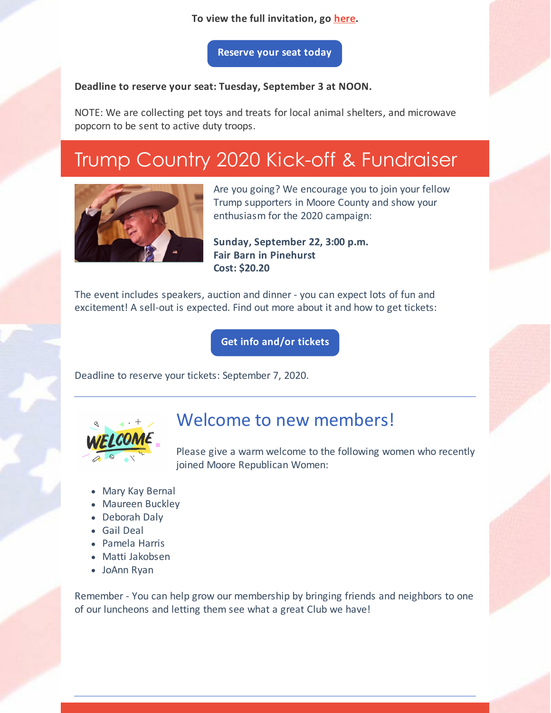### **To view the full invitation, go [here](https://files.constantcontact.com/30571cb6701/9d48747c-c2c1-4a15-a617-7567e6ff7b7b.pdf).**

**[Reserve](https://www.mrwnc.com/luncheon-reservation.html) your seat today**

### **Deadline to reserve your seat: Tuesday, September 3 at NOON.**

NOTE: We are collecting pet toys and treats for local animal shelters, and microwave popcorn to be sent to active duty troops.

# Trump Country 2020 Kick-off & Fundraiser



Are you going? We encourage you to join your fellow Trump supporters in Moore County and show your enthusiasm for the 2020 campaign:

**Sunday, September 22, 3:00 p.m. Fair Barn in Pinehurst Cost: \$20.20**

The event includes speakers, auction and dinner - you can expect lots of fun and excitement! A sell-out is expected. Find out more about it and how to get tickets:

**Get info [and/or](https://www.mcncgop.com) tickets**

Deadline to reserve your tickets: September 7, 2020.



### Welcome to new members!

Please give a warm welcome to the following women who recently joined Moore Republican Women:

- Mary Kay Bernal
- Maureen Buckley
- Deborah Daly
- Gail Deal
- Pamela Harris
- Matti Jakobsen
- JoAnn Ryan

Remember - You can help grow our membership by bringing friends and neighbors to one of our luncheons and letting them see what a great Club we have!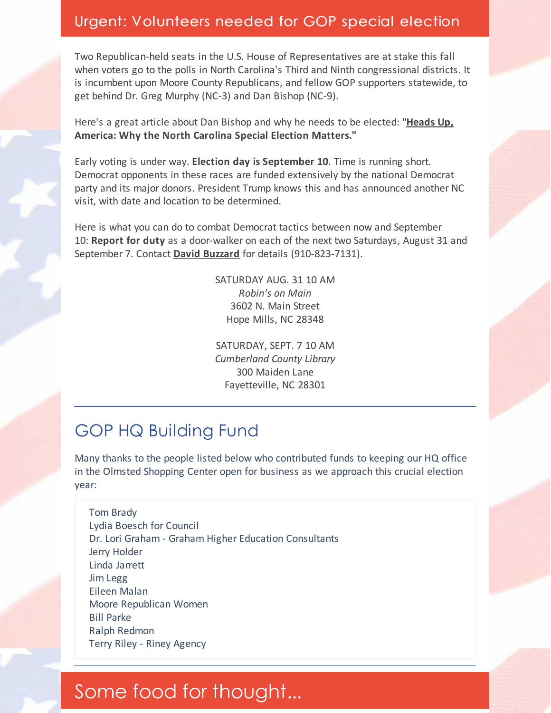### Urgent: Volunteers needed for GOP special election

Two Republican-held seats in the U.S. House of Representatives are at stake this fall when voters go to the polls in North Carolina's Third and Ninth congressional districts. It is incumbent upon Moore County Republicans, and fellow GOP supporters statewide, to get behind Dr. Greg Murphy (NC-3) and Dan Bishop (NC-9).

Here's a great article about Dan Bishop and why he needs to be elected: "**Heads Up, America: Why the North Carolina Special Election [Matters."](https://www.americanthinker.com/blog/2019/08/heads_up_america_north_carolina_special_election_matters.html)**

Early voting is under way. **Election day is September 10**. Time is running short. Democrat opponents in these races are funded extensively by the national Democrat party and its major donors. President Trump knows this and has announced another NC visit, with date and location to be determined.

Here is what you can do to combat Democrat tactics between now and September 10: **Report for duty** as a door-walker on each of the next two Saturdays, August 31 and September 7. Contact **David [Buzzard](mailto:david.buzzard@ncgop.org)** for details (910-823-7131).

> SATURDAY AUG. 31 10 AM *Robin's on Main* 3602 N. Main Street Hope Mills, NC 28348

> SATURDAY, SEPT. 7 10 AM *Cumberland County Library* 300 Maiden Lane Fayetteville, NC 28301

## GOP HQ Building Fund

Many thanks to the people listed below who contributed funds to keeping our HQ office in the Olmsted Shopping Center open for business as we approach this crucial election year:

Tom Brady Lydia Boesch for Council Dr. Lori Graham - Graham Higher Education Consultants Jerry Holder Linda Jarrett Jim Legg Eileen Malan Moore Republican Women Bill Parke Ralph Redmon Terry Riley - Riney Agency

## Some food for thought...